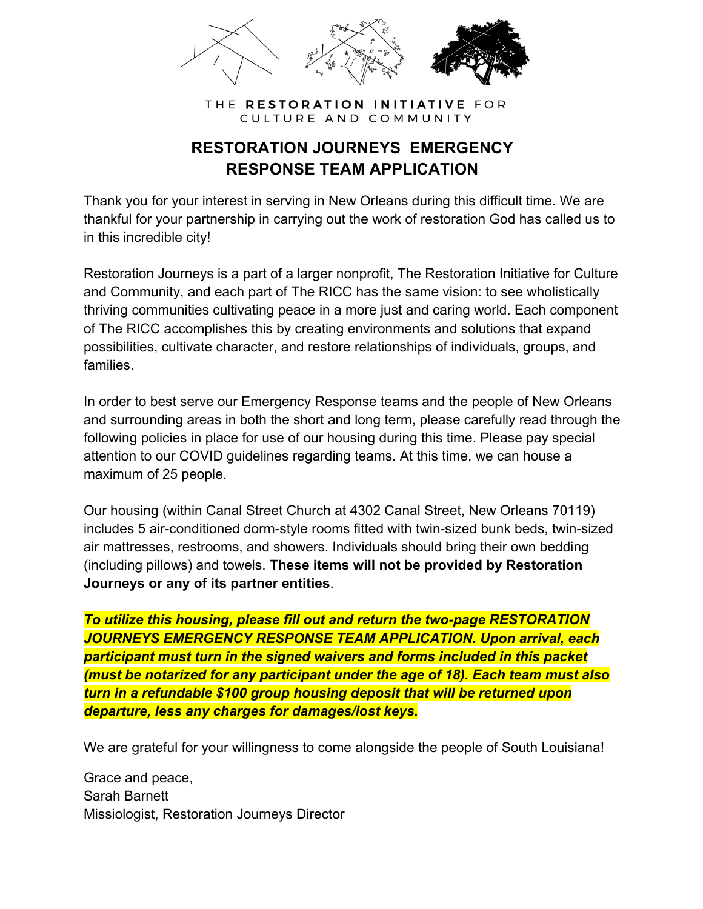

#### THE RESTORATION INITIATIVE FOR CULTURE AND COMMUNITY

### **RESTORATION JOURNEYS EMERGENCY RESPONSE TEAM APPLICATION**

Thank you for your interest in serving in New Orleans during this difficult time. We are thankful for your partnership in carrying out the work of restoration God has called us to in this incredible city!

Restoration Journeys is a part of a larger nonprofit, The Restoration Initiative for Culture and Community, and each part of The RICC has the same vision: to see wholistically thriving communities cultivating peace in a more just and caring world. Each component of The RICC accomplishes this by creating environments and solutions that expand possibilities, cultivate character, and restore relationships of individuals, groups, and families.

In order to best serve our Emergency Response teams and the people of New Orleans and surrounding areas in both the short and long term, please carefully read through the following policies in place for use of our housing during this time. Please pay special attention to our COVID guidelines regarding teams. At this time, we can house a maximum of 25 people.

Our housing (within Canal Street Church at 4302 Canal Street, New Orleans 70119) includes 5 air-conditioned dorm-style rooms fitted with twin-sized bunk beds, twin-sized air mattresses, restrooms, and showers. Individuals should bring their own bedding (including pillows) and towels. **These items will not be provided by Restoration Journeys or any of its partner entities**.

*To utilize this housing, please fill out and return the two-page RESTORATION JOURNEYS EMERGENCY RESPONSE TEAM APPLICATION. Upon arrival, each participant must turn in the signed waivers and forms included in this packet (must be notarized for any participant under the age of 18). Each team must also turn in a refundable \$100 group housing deposit that will be returned upon departure, less any charges for damages/lost keys.*

We are grateful for your willingness to come alongside the people of South Louisiana!

Grace and peace, Sarah Barnett Missiologist, Restoration Journeys Director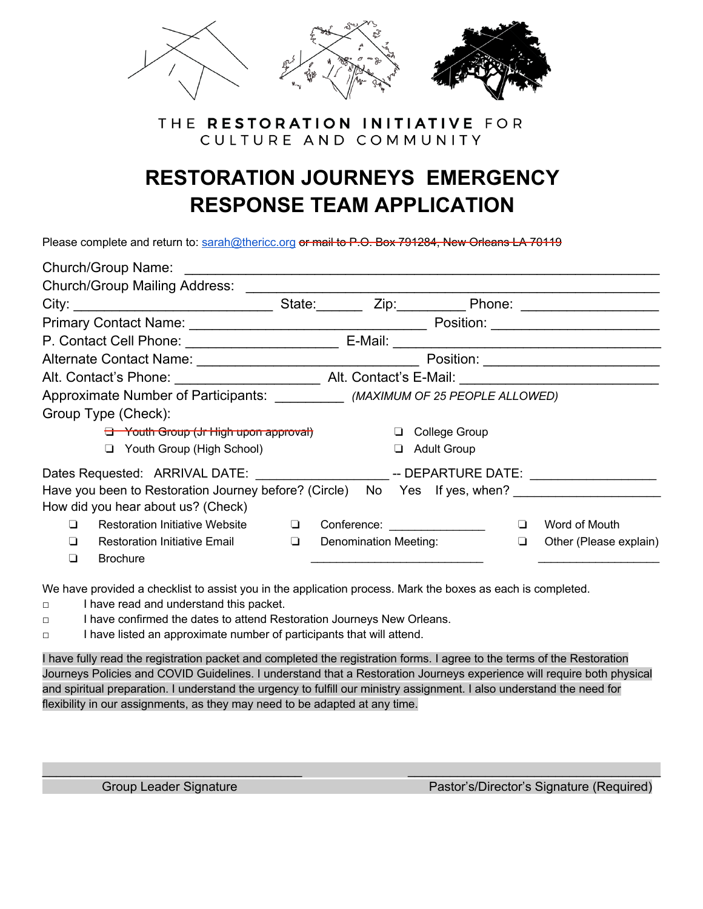

#### THE RESTORATION INITIATIVE FOR CULTURE AND COMMUNITY

## **RESTORATION JOURNEYS EMERGENCY RESPONSE TEAM APPLICATION**

Please complete and return to: sarah@thericc.org or mail to P.O. Box 791284, New Orleans LA 70119

|         | Church/Group Name: The Church of The Church of The Church of The Church of The Church of The Church of The Church of The Church of The Church of The Church of The Church of The Church of The Church of The Church of The Chu |        |                             |   |                    |        |                                                                                                                      |
|---------|--------------------------------------------------------------------------------------------------------------------------------------------------------------------------------------------------------------------------------|--------|-----------------------------|---|--------------------|--------|----------------------------------------------------------------------------------------------------------------------|
|         | <b>Church/Group Mailing Address:</b>                                                                                                                                                                                           |        |                             |   |                    |        |                                                                                                                      |
|         |                                                                                                                                                                                                                                | State: |                             |   |                    |        |                                                                                                                      |
|         |                                                                                                                                                                                                                                |        |                             |   |                    |        | Position: _________________________                                                                                  |
|         |                                                                                                                                                                                                                                |        | E-Mail:                     |   |                    |        | <u> 2000 - 2000 - 2000 - 2000 - 2000 - 2000 - 2000 - 2000 - 2000 - 2000 - 2000 - 2000 - 2000 - 2000 - 2000 - 200</u> |
|         |                                                                                                                                                                                                                                |        |                             |   |                    |        |                                                                                                                      |
|         |                                                                                                                                                                                                                                |        |                             |   |                    |        |                                                                                                                      |
|         | Approximate Number of Participants: ___________ (MAXIMUM OF 25 PEOPLE ALLOWED)                                                                                                                                                 |        |                             |   |                    |        |                                                                                                                      |
|         | Group Type (Check):                                                                                                                                                                                                            |        |                             |   |                    |        |                                                                                                                      |
|         | <del>El Youth Group (Jr High upon approval)</del>                                                                                                                                                                              |        |                             |   | College Group      |        |                                                                                                                      |
|         | Youth Group (High School)<br>❏                                                                                                                                                                                                 |        |                             | ப | <b>Adult Group</b> |        |                                                                                                                      |
|         |                                                                                                                                                                                                                                |        |                             |   |                    |        |                                                                                                                      |
|         | Have you been to Restoration Journey before? (Circle) No Yes If yes, when?                                                                                                                                                     |        |                             |   |                    |        |                                                                                                                      |
|         | How did you hear about us? (Check)                                                                                                                                                                                             |        |                             |   |                    |        |                                                                                                                      |
| ப       | <b>Restoration Initiative Website</b>                                                                                                                                                                                          | ப      | Conference: _______________ |   |                    | $\Box$ | Word of Mouth                                                                                                        |
| $\perp$ | Restoration Initiative Email                                                                                                                                                                                                   | $\Box$ | Denomination Meeting:       |   |                    | ❏      | Other (Please explain)                                                                                               |
| ◘       | <b>Brochure</b>                                                                                                                                                                                                                |        |                             |   |                    |        |                                                                                                                      |

We have provided a checklist to assist you in the application process. Mark the boxes as each is completed.

- □ I have read and understand this packet.
- □ I have confirmed the dates to attend Restoration Journeys New Orleans.
- □ I have listed an approximate number of participants that will attend.

I have fully read the registration packet and completed the registration forms. I agree to the terms of the Restoration Journeys Policies and COVID Guidelines. I understand that a Restoration Journeys experience will require both physical and spiritual preparation. I understand the urgency to fulfill our ministry assignment. I also understand the need for flexibility in our assignments, as they may need to be adapted at any time.

 $\_$  , and the set of the set of the set of the set of the set of the set of the set of the set of the set of the set of the set of the set of the set of the set of the set of the set of the set of the set of the set of th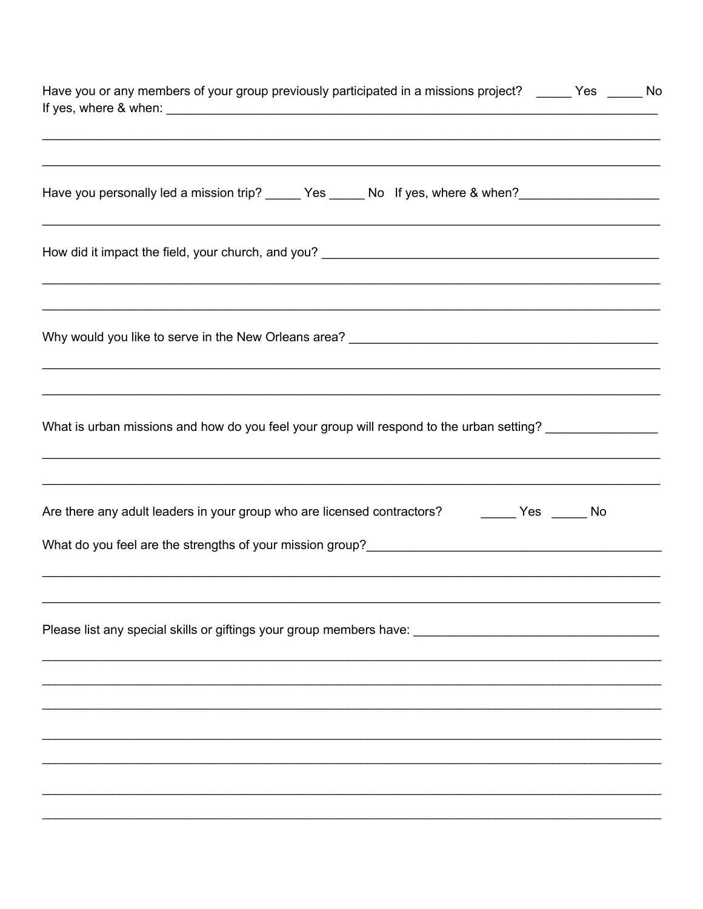| Have you or any members of your group previously participated in a missions project? _____ Yes _____ No<br>,我们也不能在这里的时候,我们也不能在这里的时候,我们也不能不能不能不能不能不能不能不能不能不能不能不能不能不能不能。""我们,我们也不能不能不能不能不能不能不能   |  |
|------------------------------------------------------------------------------------------------------------------------------------------------------------------------------------------------|--|
| ,我们也不会有什么。""我们的人,我们也不会有什么?""我们的人,我们也不会有什么?""我们的人,我们也不会有什么?""我们的人,我们也不会有什么?""我们的人<br>Have you personally led a mission trip? ______ Yes ______ No If yes, where & when? _______________________ |  |
| ,我们也不能在这里的时候,我们也不能在这里的时候,我们也不能会不能会不能会不能会不能会不能会不能会不能会不能会不能会。""我们的是,我们也不能会不能会不能会不能<br>,我们也不能在这里的时候,我们也不能在这里的时候,我们也不能不能不能不能不能不能不能不能不能不能不能不能不能不能。""我们,我们也不能不能不能不能不能不能不能不能                          |  |
| ,我们也不能在这里的时候,我们也不能在这里的时候,我们也不能不能不能不能不能不能不能不能不能不能不能不能不能不能不能。""我们的是,我们也不能不能不能不能不能不能                                                                                                              |  |
| What is urban missions and how do you feel your group will respond to the urban setting? ________________<br>,我们也不会有什么。""我们的人,我们也不会有什么?""我们的人,我们也不会有什么?""我们的人,我们也不会有什么?""我们的人,我们也不会有什么?""我们的人  |  |
| <u>,这就是一个人的人,我们就是一个人的人,我们就是一个人的人,我们就是一个人的人,我们就是一个人的人,我们就是一个人的人,我们就是一个人的人,我们就是</u><br>Are there any adult leaders in your group who are licensed contractors? The Message Mo                    |  |
|                                                                                                                                                                                                |  |
|                                                                                                                                                                                                |  |
|                                                                                                                                                                                                |  |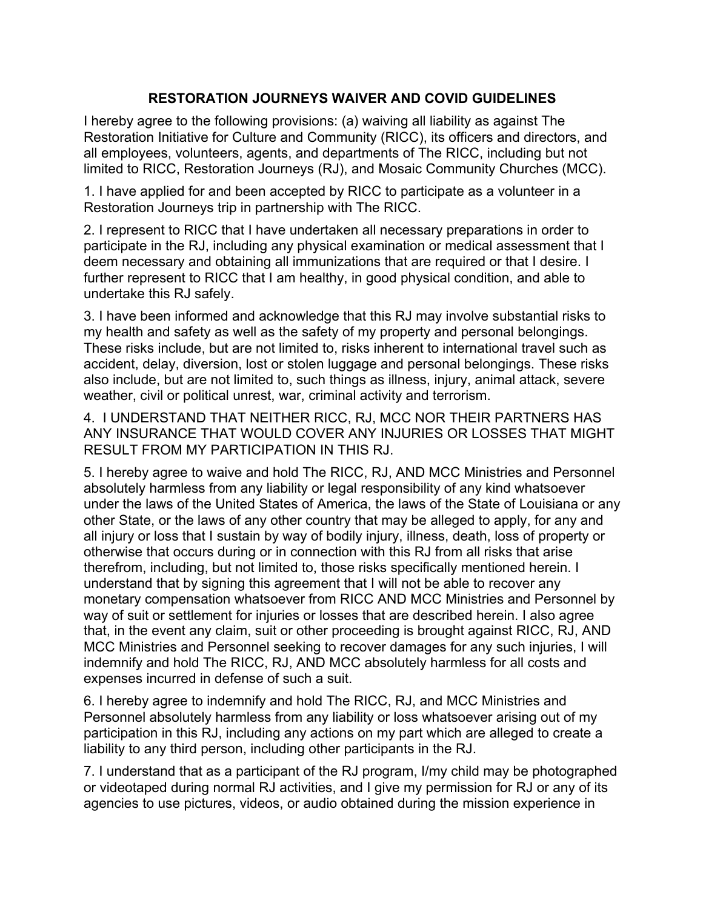#### **RESTORATION JOURNEYS WAIVER AND COVID GUIDELINES**

I hereby agree to the following provisions: (a) waiving all liability as against The Restoration Initiative for Culture and Community (RICC), its officers and directors, and all employees, volunteers, agents, and departments of The RICC, including but not limited to RICC, Restoration Journeys (RJ), and Mosaic Community Churches (MCC).

1. I have applied for and been accepted by RICC to participate as a volunteer in a Restoration Journeys trip in partnership with The RICC.

2. I represent to RICC that I have undertaken all necessary preparations in order to participate in the RJ, including any physical examination or medical assessment that I deem necessary and obtaining all immunizations that are required or that I desire. I further represent to RICC that I am healthy, in good physical condition, and able to undertake this RJ safely.

3. I have been informed and acknowledge that this RJ may involve substantial risks to my health and safety as well as the safety of my property and personal belongings. These risks include, but are not limited to, risks inherent to international travel such as accident, delay, diversion, lost or stolen luggage and personal belongings. These risks also include, but are not limited to, such things as illness, injury, animal attack, severe weather, civil or political unrest, war, criminal activity and terrorism.

4. I UNDERSTAND THAT NEITHER RICC, RJ, MCC NOR THEIR PARTNERS HAS ANY INSURANCE THAT WOULD COVER ANY INJURIES OR LOSSES THAT MIGHT RESULT FROM MY PARTICIPATION IN THIS RJ.

5. I hereby agree to waive and hold The RICC, RJ, AND MCC Ministries and Personnel absolutely harmless from any liability or legal responsibility of any kind whatsoever under the laws of the United States of America, the laws of the State of Louisiana or any other State, or the laws of any other country that may be alleged to apply, for any and all injury or loss that I sustain by way of bodily injury, illness, death, loss of property or otherwise that occurs during or in connection with this RJ from all risks that arise therefrom, including, but not limited to, those risks specifically mentioned herein. I understand that by signing this agreement that I will not be able to recover any monetary compensation whatsoever from RICC AND MCC Ministries and Personnel by way of suit or settlement for injuries or losses that are described herein. I also agree that, in the event any claim, suit or other proceeding is brought against RICC, RJ, AND MCC Ministries and Personnel seeking to recover damages for any such injuries, I will indemnify and hold The RICC, RJ, AND MCC absolutely harmless for all costs and expenses incurred in defense of such a suit.

6. I hereby agree to indemnify and hold The RICC, RJ, and MCC Ministries and Personnel absolutely harmless from any liability or loss whatsoever arising out of my participation in this RJ, including any actions on my part which are alleged to create a liability to any third person, including other participants in the RJ.

7. I understand that as a participant of the RJ program, I/my child may be photographed or videotaped during normal RJ activities, and I give my permission for RJ or any of its agencies to use pictures, videos, or audio obtained during the mission experience in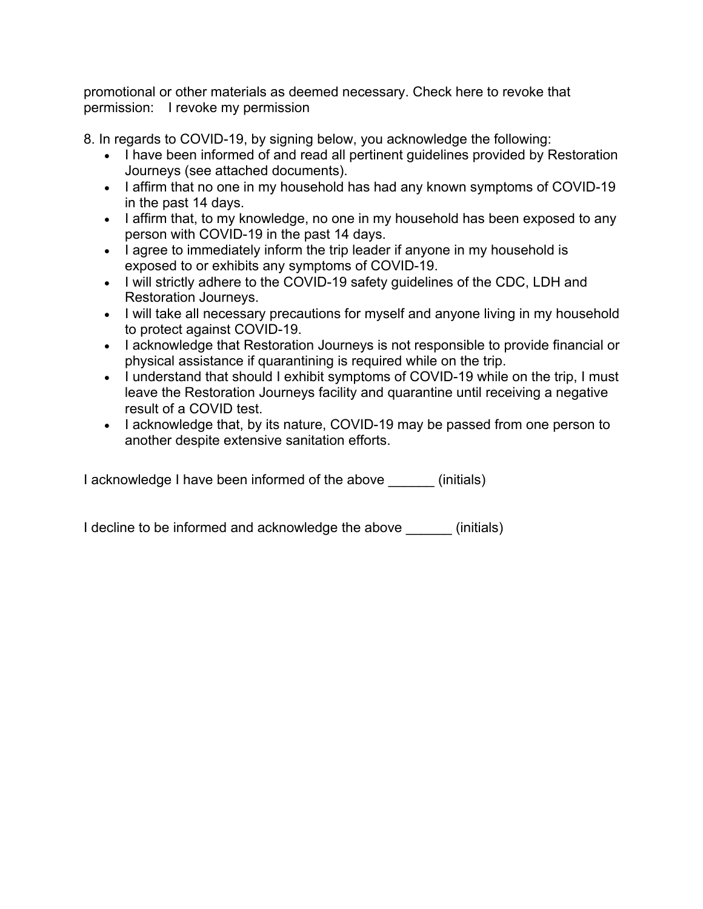promotional or other materials as deemed necessary. Check here to revoke that permission: I revoke my permission

8. In regards to COVID-19, by signing below, you acknowledge the following:

- I have been informed of and read all pertinent guidelines provided by Restoration Journeys (see attached documents).
- I affirm that no one in my household has had any known symptoms of COVID-19 in the past 14 days.
- I affirm that, to my knowledge, no one in my household has been exposed to any person with COVID-19 in the past 14 days.
- I agree to immediately inform the trip leader if anyone in my household is exposed to or exhibits any symptoms of COVID-19.
- I will strictly adhere to the COVID-19 safety guidelines of the CDC, LDH and Restoration Journeys.
- I will take all necessary precautions for myself and anyone living in my household to protect against COVID-19.
- I acknowledge that Restoration Journeys is not responsible to provide financial or physical assistance if quarantining is required while on the trip.
- I understand that should I exhibit symptoms of COVID-19 while on the trip, I must leave the Restoration Journeys facility and quarantine until receiving a negative result of a COVID test.
- I acknowledge that, by its nature, COVID-19 may be passed from one person to another despite extensive sanitation efforts.

I acknowledge I have been informed of the above (initials)

I decline to be informed and acknowledge the above (initials)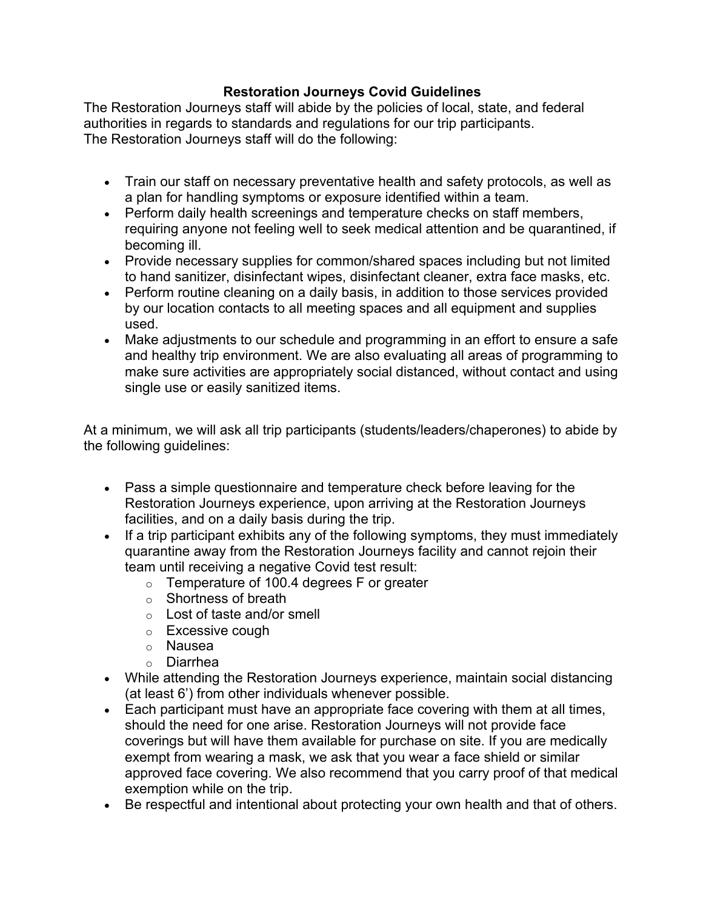#### **Restoration Journeys Covid Guidelines**

The Restoration Journeys staff will abide by the policies of local, state, and federal authorities in regards to standards and regulations for our trip participants. The Restoration Journeys staff will do the following:

- Train our staff on necessary preventative health and safety protocols, as well as a plan for handling symptoms or exposure identified within a team.
- Perform daily health screenings and temperature checks on staff members, requiring anyone not feeling well to seek medical attention and be quarantined, if becoming ill.
- Provide necessary supplies for common/shared spaces including but not limited to hand sanitizer, disinfectant wipes, disinfectant cleaner, extra face masks, etc.
- Perform routine cleaning on a daily basis, in addition to those services provided by our location contacts to all meeting spaces and all equipment and supplies used.
- Make adjustments to our schedule and programming in an effort to ensure a safe and healthy trip environment. We are also evaluating all areas of programming to make sure activities are appropriately social distanced, without contact and using single use or easily sanitized items.

At a minimum, we will ask all trip participants (students/leaders/chaperones) to abide by the following guidelines:

- Pass a simple questionnaire and temperature check before leaving for the Restoration Journeys experience, upon arriving at the Restoration Journeys facilities, and on a daily basis during the trip.
- If a trip participant exhibits any of the following symptoms, they must immediately quarantine away from the Restoration Journeys facility and cannot rejoin their team until receiving a negative Covid test result:
	- o Temperature of 100.4 degrees F or greater
	- o Shortness of breath
	- o Lost of taste and/or smell
	- o Excessive cough
	- o Nausea
	- o Diarrhea
- While attending the Restoration Journeys experience, maintain social distancing (at least 6') from other individuals whenever possible.
- Each participant must have an appropriate face covering with them at all times, should the need for one arise. Restoration Journeys will not provide face coverings but will have them available for purchase on site. If you are medically exempt from wearing a mask, we ask that you wear a face shield or similar approved face covering. We also recommend that you carry proof of that medical exemption while on the trip.
- Be respectful and intentional about protecting your own health and that of others.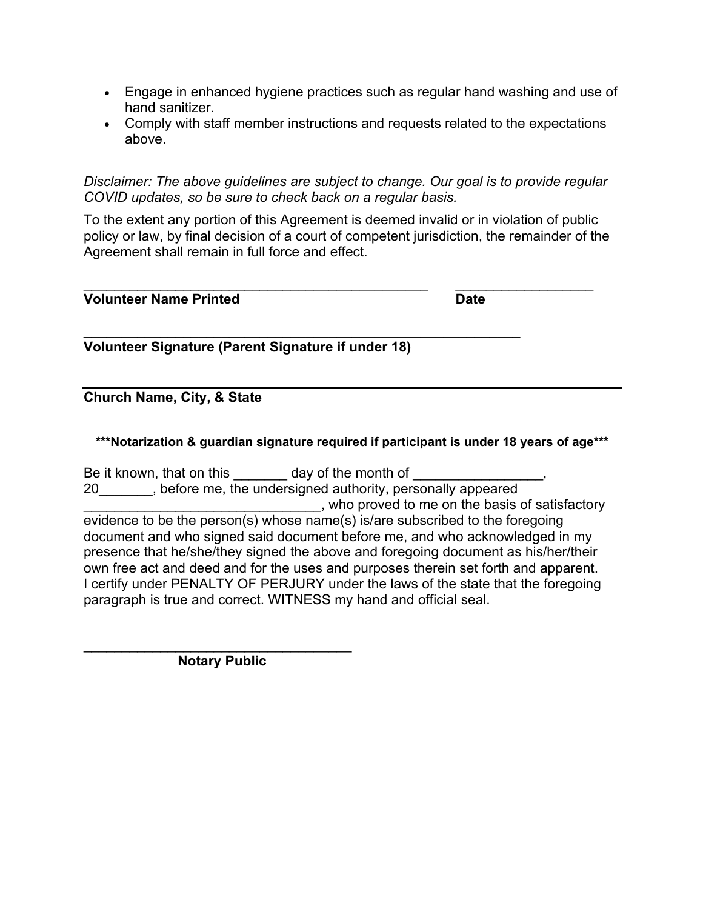- Engage in enhanced hygiene practices such as regular hand washing and use of hand sanitizer.
- Comply with staff member instructions and requests related to the expectations above.

*Disclaimer: The above guidelines are subject to change. Our goal is to provide regular COVID updates, so be sure to check back on a regular basis.*

To the extent any portion of this Agreement is deemed invalid or in violation of public policy or law, by final decision of a court of competent jurisdiction, the remainder of the Agreement shall remain in full force and effect.

| <b>Volunteer Name Printed</b><br><b>Date</b> |  |
|----------------------------------------------|--|
|----------------------------------------------|--|

 $\mathcal{L}_\text{max} = \frac{1}{2} \sum_{i=1}^{n} \frac{1}{2} \sum_{i=1}^{n} \frac{1}{2} \sum_{i=1}^{n} \frac{1}{2} \sum_{i=1}^{n} \frac{1}{2} \sum_{i=1}^{n} \frac{1}{2} \sum_{i=1}^{n} \frac{1}{2} \sum_{i=1}^{n} \frac{1}{2} \sum_{i=1}^{n} \frac{1}{2} \sum_{i=1}^{n} \frac{1}{2} \sum_{i=1}^{n} \frac{1}{2} \sum_{i=1}^{n} \frac{1}{2} \sum_{i=1}^{n} \frac{1$ 

 $\mathcal{L}_\text{max}$  , and the contribution of the contribution of the contribution of the contribution of the contribution of the contribution of the contribution of the contribution of the contribution of the contribution of t **Volunteer Signature (Parent Signature if under 18)**

#### **Church Name, City, & State**

**\*\*\*Notarization & guardian signature required if participant is under 18 years of age\*\*\***

Be it known, that on this day of the month of

20\_\_\_\_\_\_\_, before me, the undersigned authority, personally appeared who proved to me on the basis of satisfactory evidence to be the person(s) whose name(s) is/are subscribed to the foregoing document and who signed said document before me, and who acknowledged in my presence that he/she/they signed the above and foregoing document as his/her/their own free act and deed and for the uses and purposes therein set forth and apparent. I certify under PENALTY OF PERJURY under the laws of the state that the foregoing paragraph is true and correct. WITNESS my hand and official seal.

 $\overline{\phantom{a}}$  , and the set of the set of the set of the set of the set of the set of the set of the set of the set of the set of the set of the set of the set of the set of the set of the set of the set of the set of the s  **Notary Public**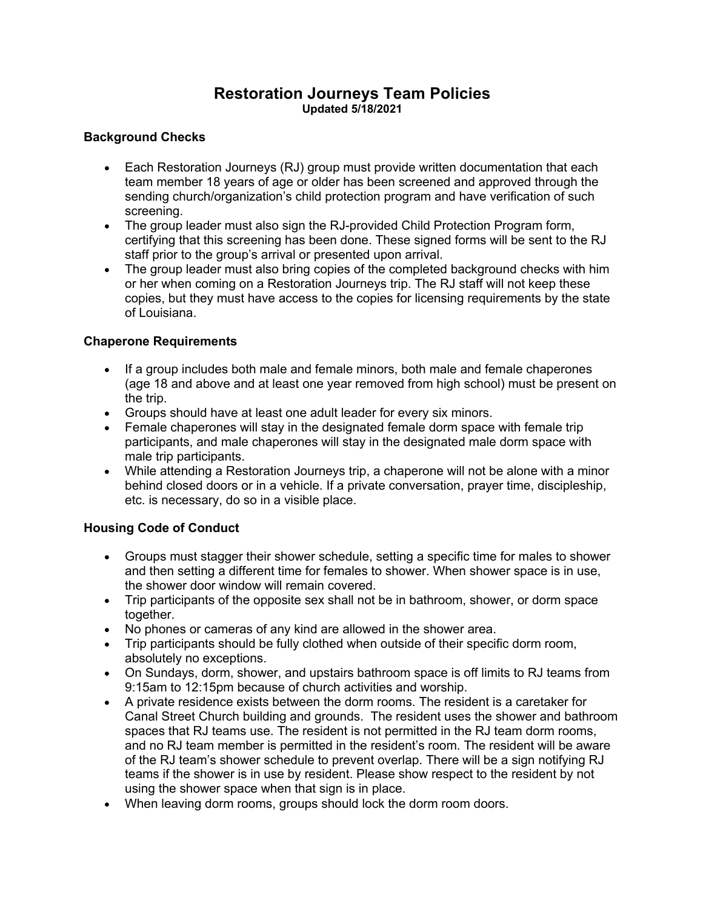#### **Restoration Journeys Team Policies Updated 5/18/2021**

#### **Background Checks**

- Each Restoration Journeys (RJ) group must provide written documentation that each team member 18 years of age or older has been screened and approved through the sending church/organization's child protection program and have verification of such screening.
- The group leader must also sign the RJ-provided Child Protection Program form, certifying that this screening has been done. These signed forms will be sent to the RJ staff prior to the group's arrival or presented upon arrival.
- The group leader must also bring copies of the completed background checks with him or her when coming on a Restoration Journeys trip. The RJ staff will not keep these copies, but they must have access to the copies for licensing requirements by the state of Louisiana.

#### **Chaperone Requirements**

- If a group includes both male and female minors, both male and female chaperones (age 18 and above and at least one year removed from high school) must be present on the trip.
- Groups should have at least one adult leader for every six minors.
- Female chaperones will stay in the designated female dorm space with female trip participants, and male chaperones will stay in the designated male dorm space with male trip participants.
- While attending a Restoration Journeys trip, a chaperone will not be alone with a minor behind closed doors or in a vehicle. If a private conversation, prayer time, discipleship, etc. is necessary, do so in a visible place.

#### **Housing Code of Conduct**

- Groups must stagger their shower schedule, setting a specific time for males to shower and then setting a different time for females to shower. When shower space is in use, the shower door window will remain covered.
- Trip participants of the opposite sex shall not be in bathroom, shower, or dorm space together.
- No phones or cameras of any kind are allowed in the shower area.
- Trip participants should be fully clothed when outside of their specific dorm room, absolutely no exceptions.
- On Sundays, dorm, shower, and upstairs bathroom space is off limits to RJ teams from 9:15am to 12:15pm because of church activities and worship.
- A private residence exists between the dorm rooms. The resident is a caretaker for Canal Street Church building and grounds. The resident uses the shower and bathroom spaces that RJ teams use. The resident is not permitted in the RJ team dorm rooms, and no RJ team member is permitted in the resident's room. The resident will be aware of the RJ team's shower schedule to prevent overlap. There will be a sign notifying RJ teams if the shower is in use by resident. Please show respect to the resident by not using the shower space when that sign is in place.
- When leaving dorm rooms, groups should lock the dorm room doors.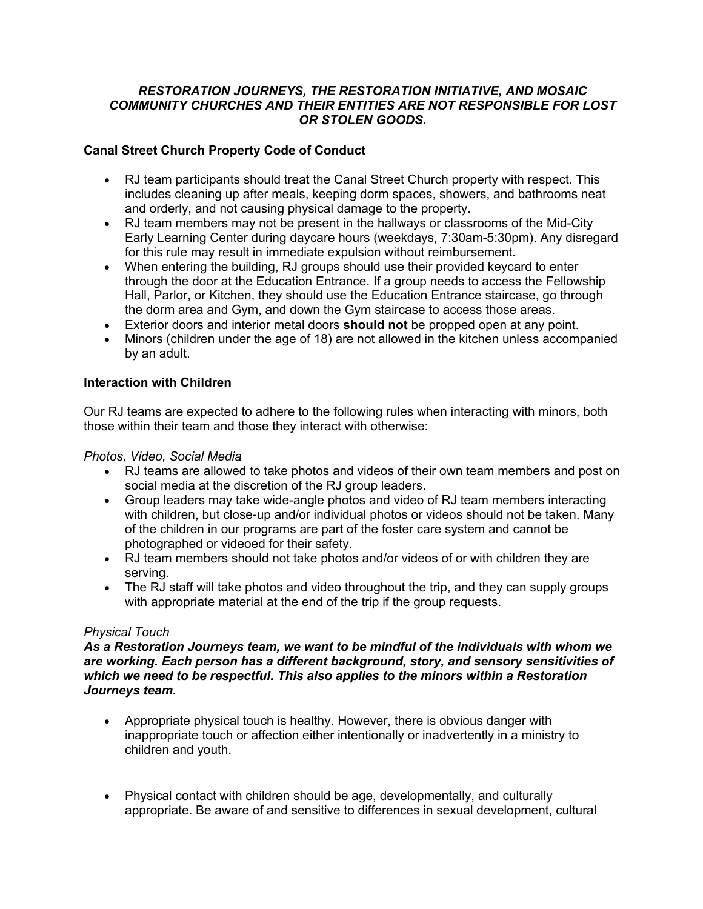#### *RESTORATION JOURNEYS, THE RESTORATION INITIATIVE, AND MOSAIC COMMUNITY CHURCHES AND THEIR ENTITIES ARE NOT RESPONSIBLE FOR LOST OR STOLEN GOODS.*

#### **Canal Street Church Property Code of Conduct**

- RJ team participants should treat the Canal Street Church property with respect. This includes cleaning up after meals, keeping dorm spaces, showers, and bathrooms neat and orderly, and not causing physical damage to the property.
- RJ team members may not be present in the hallways or classrooms of the Mid-City Early Learning Center during daycare hours (weekdays, 7:30am-5:30pm). Any disregard for this rule may result in immediate expulsion without reimbursement.
- When entering the building, RJ groups should use their provided keycard to enter through the door at the Education Entrance. If a group needs to access the Fellowship Hall, Parlor, or Kitchen, they should use the Education Entrance staircase, go through the dorm area and Gym, and down the Gym staircase to access those areas.
- Exterior doors and interior metal doors **should not** be propped open at any point.
- Minors (children under the age of 18) are not allowed in the kitchen unless accompanied by an adult.

#### **Interaction with Children**

Our RJ teams are expected to adhere to the following rules when interacting with minors, both those within their team and those they interact with otherwise:

*Photos, Video, Social Media*

- RJ teams are allowed to take photos and videos of their own team members and post on social media at the discretion of the RJ group leaders.
- Group leaders may take wide-angle photos and video of RJ team members interacting with children, but close-up and/or individual photos or videos should not be taken. Many of the children in our programs are part of the foster care system and cannot be photographed or videoed for their safety.
- RJ team members should not take photos and/or videos of or with children they are serving.
- The RJ staff will take photos and video throughout the trip, and they can supply groups with appropriate material at the end of the trip if the group requests.

#### *Physical Touch*

#### *As a Restoration Journeys team, we want to be mindful of the individuals with whom we are working. Each person has a different background, story, and sensory sensitivities of which we need to be respectful. This also applies to the minors within a Restoration Journeys team.*

- Appropriate physical touch is healthy. However, there is obvious danger with inappropriate touch or affection either intentionally or inadvertently in a ministry to children and youth.
- Physical contact with children should be age, developmentally, and culturally appropriate. Be aware of and sensitive to differences in sexual development, cultural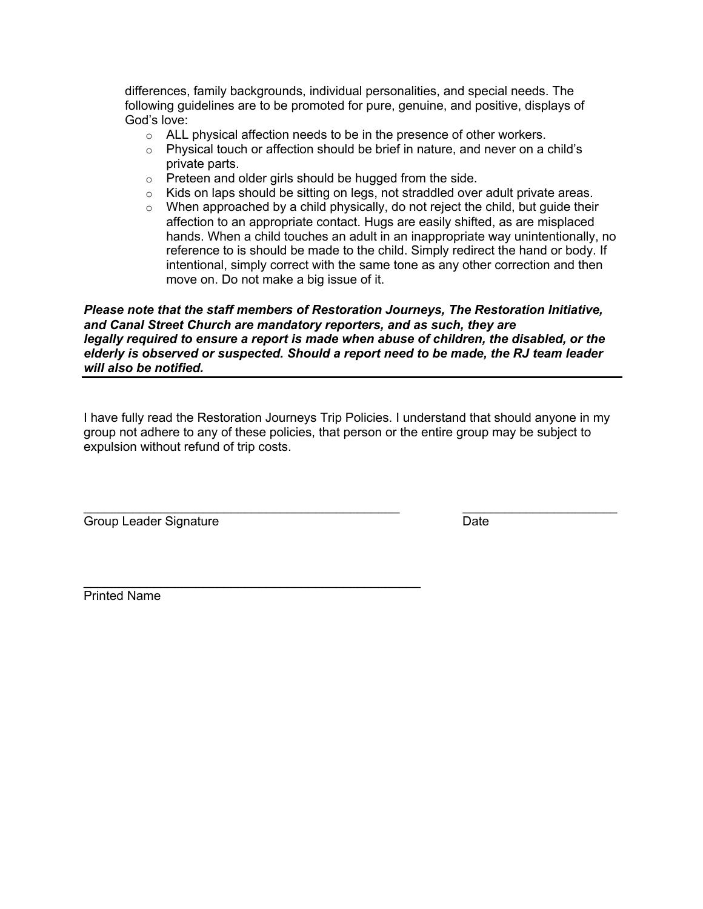differences, family backgrounds, individual personalities, and special needs. The following guidelines are to be promoted for pure, genuine, and positive, displays of God's love:

- o ALL physical affection needs to be in the presence of other workers.
- $\circ$  Physical touch or affection should be brief in nature, and never on a child's private parts.
- $\circ$  Preteen and older girls should be hugged from the side.
- $\circ$  Kids on laps should be sitting on legs, not straddled over adult private areas.
- $\circ$  When approached by a child physically, do not reject the child, but guide their affection to an appropriate contact. Hugs are easily shifted, as are misplaced hands. When a child touches an adult in an inappropriate way unintentionally, no reference to is should be made to the child. Simply redirect the hand or body. If intentional, simply correct with the same tone as any other correction and then move on. Do not make a big issue of it.

#### *Please note that the staff members of Restoration Journeys, The Restoration Initiative, and Canal Street Church are mandatory reporters, and as such, they are legally required to ensure a report is made when abuse of children, the disabled, or the elderly is observed or suspected. Should a report need to be made, the RJ team leader will also be notified.*

I have fully read the Restoration Journeys Trip Policies. I understand that should anyone in my group not adhere to any of these policies, that person or the entire group may be subject to expulsion without refund of trip costs.

Group Leader Signature **Date** 

 $\_$ 

\_\_\_\_\_\_\_\_\_\_\_\_\_\_\_\_\_\_\_\_\_\_\_\_\_\_\_\_\_\_\_\_\_\_\_\_\_\_\_\_\_\_\_\_\_ \_\_\_\_\_\_\_\_\_\_\_\_\_\_\_\_\_\_\_\_\_\_

Printed Name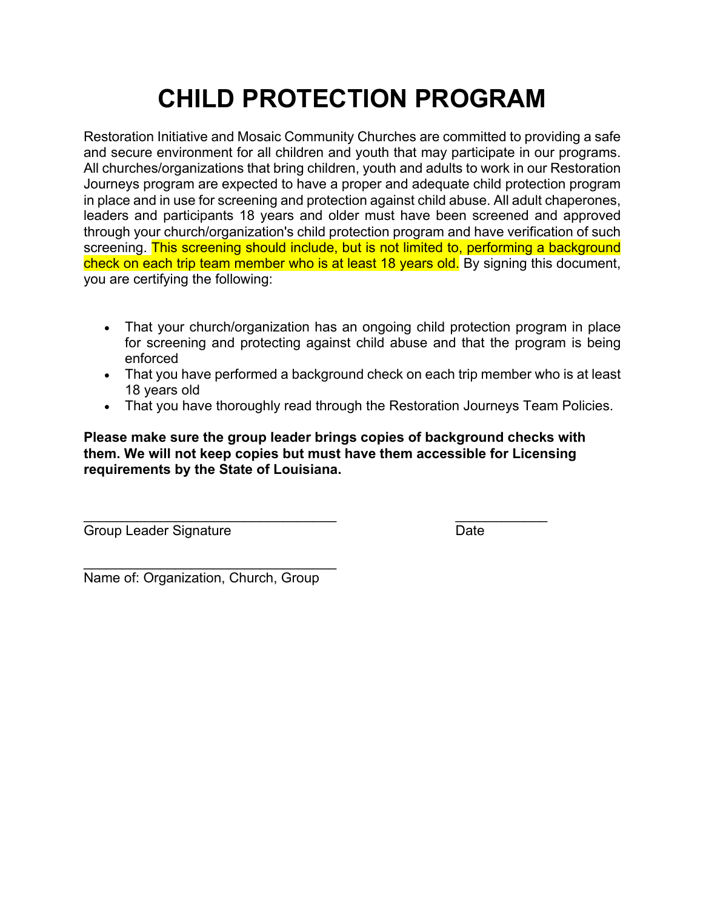# **CHILD PROTECTION PROGRAM**

Restoration Initiative and Mosaic Community Churches are committed to providing a safe and secure environment for all children and youth that may participate in our programs. All churches/organizations that bring children, youth and adults to work in our Restoration Journeys program are expected to have a proper and adequate child protection program in place and in use for screening and protection against child abuse. All adult chaperones, leaders and participants 18 years and older must have been screened and approved through your church/organization's child protection program and have verification of such screening. This screening should include, but is not limited to, performing a background check on each trip team member who is at least 18 years old. By signing this document, you are certifying the following:

- That your church/organization has an ongoing child protection program in place for screening and protecting against child abuse and that the program is being enforced
- That you have performed a background check on each trip member who is at least 18 years old
- That you have thoroughly read through the Restoration Journeys Team Policies.

**Please make sure the group leader brings copies of background checks with them. We will not keep copies but must have them accessible for Licensing requirements by the State of Louisiana.**

Group Leader Signature Date

 $\mathcal{L}_\text{max}$  , and the contract of the contract of the contract of the contract of the contract of the contract of the contract of the contract of the contract of the contract of the contract of the contract of the contr

 $\mathcal{L}_\text{max}$  , and the set of the set of the set of the set of the set of the set of the set of the set of the set of the set of the set of the set of the set of the set of the set of the set of the set of the set of the Name of: Organization, Church, Group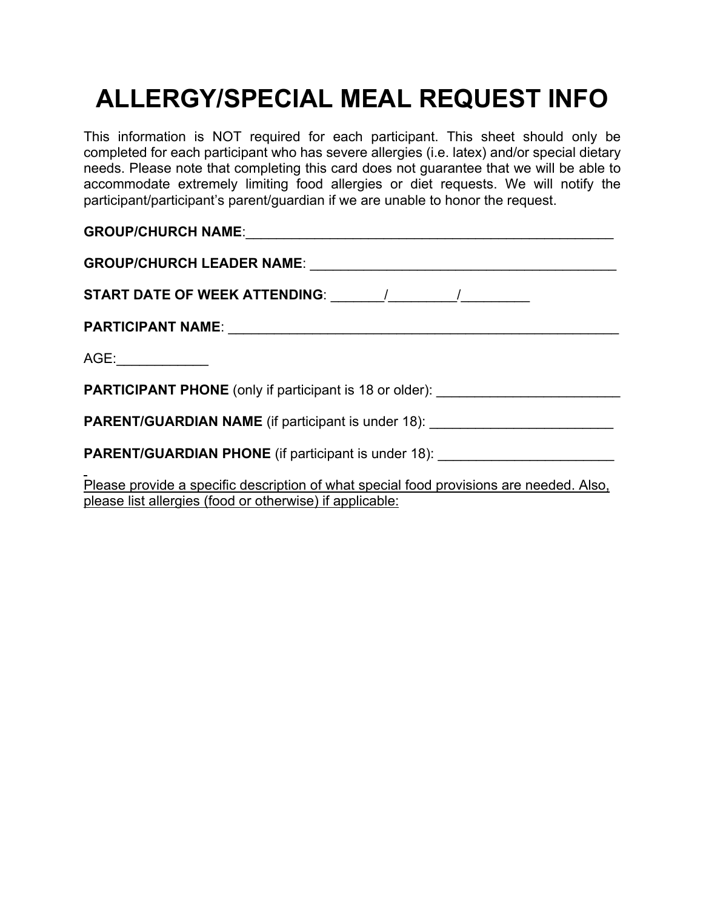## **ALLERGY/SPECIAL MEAL REQUEST INFO**

This information is NOT required for each participant. This sheet should only be completed for each participant who has severe allergies (i.e. latex) and/or special dietary needs. Please note that completing this card does not guarantee that we will be able to accommodate extremely limiting food allergies or diet requests. We will notify the participant/participant's parent/guardian if we are unable to honor the request.

| AGE:______________                                                                      |  |  |  |
|-----------------------------------------------------------------------------------------|--|--|--|
| <b>PARTICIPANT PHONE</b> (only if participant is 18 or older): _______________________  |  |  |  |
| <b>PARENT/GUARDIAN NAME</b> (if participant is under 18): ____________________________  |  |  |  |
| PARENT/GUARDIAN PHONE (if participant is under 18): ____________________________        |  |  |  |
| Please provide a specific description of what special food provisions are needed. Also, |  |  |  |

please list allergies (food or otherwise) if applicable: